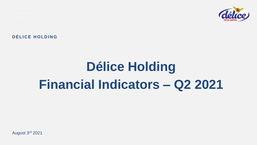

## DÉLICE HOLDING

## **Délice Holding Financial Indicators – Q2 2021**

August 3rd 2021

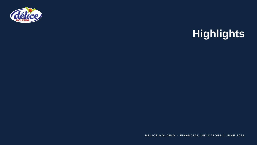

## **Highlights**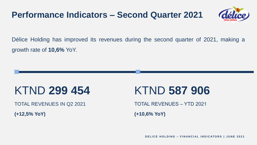Délice Holding has improved its revenues during the second quarter of 2021, making a growth rate of **10,6%** YoY.

TOTAL REVENUES IN Q2 2021

## KTND **299 454**

**(+12,5% YoY)**

# TOTAL REVENUES – YTD 2021 KTND **587 906**

## **Performance Indicators – Second Quarter 2021**

**(+10,6% YoY)**



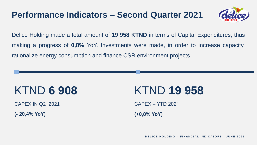Délice Holding made a total amount of **19 958 KTND** in terms of Capital Expenditures, thus making a progress of **0,8%** YoY. Investments were made, in order to increase capacity, rationalize energy consumption and finance CSR environment projects.

CAPEX IN Q2 2021

# KTND **6 908**

**(- 20,4% YoY)**

# KTND **19 958**

**DELICE HOLDING - FINANCIAL INDICATORS | JUNE 2021** 

## **Performance Indicators – Second Quarter 2021**

CAPEX – YTD 2021 **(+0,8% YoY)**



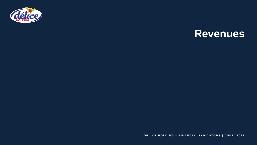

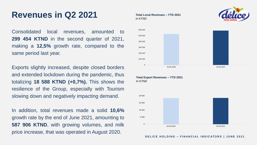Consolidated local revenues, amounted to **299 454 KTND** in the second quarter of 2021, making a **12,5%** growth rate, compared to the same period last year.

Exports slightly increased, despite closed borders and extended lockdown during the pandemic, thus totalizing **18 588 KTND (+0,7%).** This shows the resilience of the Group, especially with Tourism slowing down and negatively impacting demand.

In addition, total revenues made a solid **10,6%** growth rate by the end of June 2021, amounting to **587 906 KTND**, with growing volumes, and milk price increase, that was operated in August 2020.

## **Revenues in Q2 2021 Total Local Revenues – YTD 2021**

*In KTND*

**Total Export Revenues – YTD 2021** *In KTND*

**0**

**100 000**

**200 000**

**300 000**

**400 000**

**500 000**

**600 000**

**30.06.2020 30.06.2021**





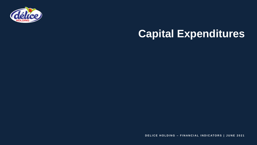

## **Capital Expenditures**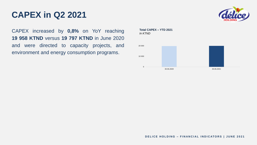CAPEX increased by **0,8%** on YoY reaching **19 958 KTND** versus **19 797 KTND** in June 2020 and were directed to capacity projects, and environment and energy consumption programs.

## **CAPEX in Q2 2021**

**Total CAPEX – YTD 2021** *In KTND*

**0**





**10 000**

**20 000**

**30.06.2020 30.06.2021**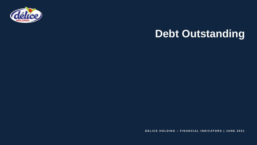



**DELICE HOLDING - FINANCIAL INDICATORS | JUNE 2021** 

## **Debt Outstanding**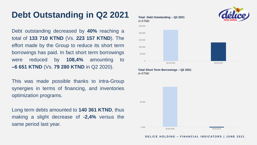Debt outstanding decreased by **40%** reaching a total of **133 710 KTND** (Vs. **223 157 KTND**). The effort made by the Group to reduce its short term borrowings has paid. In fact short term borrowings were reduced by **108,4%** amounting to **–6 651 KTND** (Vs. **79 280 KTND** in Q2 2020).

This was made possible thanks to intra-Group synergies in terms of financing, and inventories optimization programs.

Long term debts amounted to **140 361 KTND**, thus making a slight decrease of **-2,4%** versus the same period last year.

## **Debt Outstanding in Q2 2021 Total Debt Outstanding – Q2 2021**

## *In KTND* 0 50 000 100 000 150 000 200 000 250 000

### **Total Short Term Borrowings – Q2 2021**

*In KTND*

30.06.2020 30.06.2021

-1 000







49 000

30.06.2020 30.06.2021